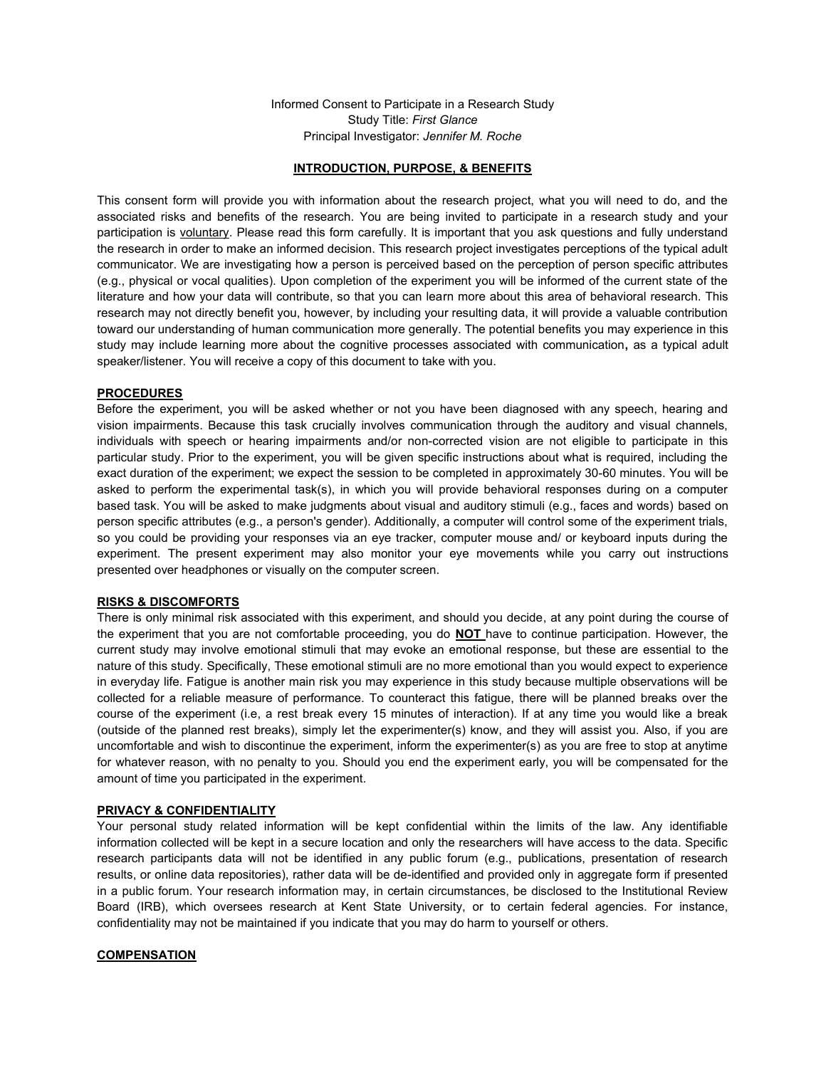Informed Consent to Participate in a Research Study Study Title: *First Glance* Principal Investigator: *Jennifer M. Roche*

### **INTRODUCTION, PURPOSE, & BENEFITS**

This consent form will provide you with information about the research project, what you will need to do, and the associated risks and benefits of the research. You are being invited to participate in a research study and your participation is voluntary. Please read this form carefully. It is important that you ask questions and fully understand the research in order to make an informed decision. This research project investigates perceptions of the typical adult communicator. We are investigating how a person is perceived based on the perception of person specific attributes (e.g., physical or vocal qualities). Upon completion of the experiment you will be informed of the current state of the literature and how your data will contribute, so that you can learn more about this area of behavioral research. This research may not directly benefit you, however, by including your resulting data, it will provide a valuable contribution toward our understanding of human communication more generally. The potential benefits you may experience in this study may include learning more about the cognitive processes associated with communication**,** as a typical adult speaker/listener. You will receive a copy of this document to take with you.

## **PROCEDURES**

Before the experiment, you will be asked whether or not you have been diagnosed with any speech, hearing and vision impairments. Because this task crucially involves communication through the auditory and visual channels, individuals with speech or hearing impairments and/or non-corrected vision are not eligible to participate in this particular study. Prior to the experiment, you will be given specific instructions about what is required, including the exact duration of the experiment; we expect the session to be completed in approximately 30-60 minutes. You will be asked to perform the experimental task(s), in which you will provide behavioral responses during on a computer based task. You will be asked to make judgments about visual and auditory stimuli (e.g., faces and words) based on person specific attributes (e.g., a person's gender). Additionally, a computer will control some of the experiment trials, so you could be providing your responses via an eye tracker, computer mouse and/ or keyboard inputs during the experiment. The present experiment may also monitor your eye movements while you carry out instructions presented over headphones or visually on the computer screen.

### **RISKS & DISCOMFORTS**

There is only minimal risk associated with this experiment, and should you decide, at any point during the course of the experiment that you are not comfortable proceeding, you do **NOT** have to continue participation. However, the current study may involve emotional stimuli that may evoke an emotional response, but these are essential to the nature of this study. Specifically, These emotional stimuli are no more emotional than you would expect to experience in everyday life. Fatigue is another main risk you may experience in this study because multiple observations will be collected for a reliable measure of performance. To counteract this fatigue, there will be planned breaks over the course of the experiment (i.e, a rest break every 15 minutes of interaction). If at any time you would like a break (outside of the planned rest breaks), simply let the experimenter(s) know, and they will assist you. Also, if you are uncomfortable and wish to discontinue the experiment, inform the experimenter(s) as you are free to stop at anytime for whatever reason, with no penalty to you. Should you end the experiment early, you will be compensated for the amount of time you participated in the experiment.

#### **PRIVACY & CONFIDENTIALITY**

Your personal study related information will be kept confidential within the limits of the law. Any identifiable information collected will be kept in a secure location and only the researchers will have access to the data. Specific research participants data will not be identified in any public forum (e.g., publications, presentation of research results, or online data repositories), rather data will be de-identified and provided only in aggregate form if presented in a public forum. Your research information may, in certain circumstances, be disclosed to the Institutional Review Board (IRB), which oversees research at Kent State University, or to certain federal agencies. For instance, confidentiality may not be maintained if you indicate that you may do harm to yourself or others.

### **COMPENSATION**